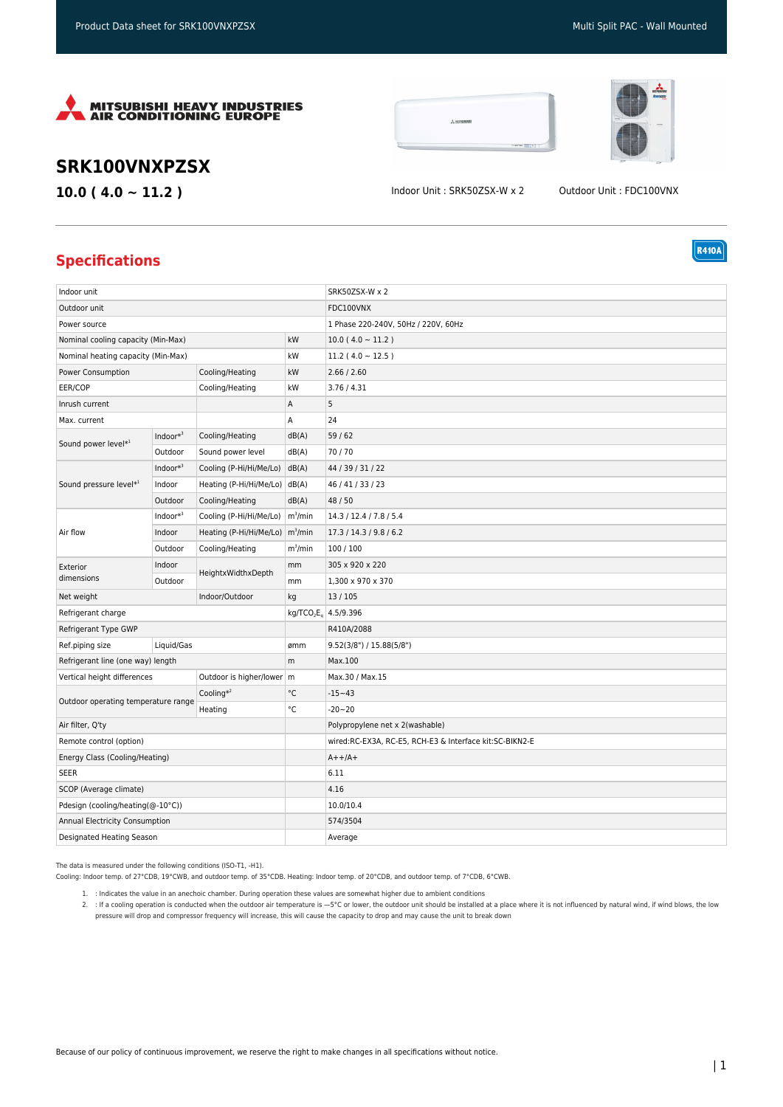





**R410A** 

## **SRK100VNXPZSX**

**10.0 ( 4.0 ~ 11.2 )** Indoor Unit : SRK50ZSX-W x 2 Outdoor Unit : FDC100VNX

## **Specifications**

| Indoor unit                          |              |                                               |             | SRK50ZSX-W x 2                                          |
|--------------------------------------|--------------|-----------------------------------------------|-------------|---------------------------------------------------------|
| Outdoor unit                         |              |                                               |             | FDC100VNX                                               |
| Power source                         |              |                                               |             | 1 Phase 220-240V, 50Hz / 220V, 60Hz                     |
| Nominal cooling capacity (Min-Max)   |              |                                               | kW          | $10.0 (4.0 \sim 11.2)$                                  |
| Nominal heating capacity (Min-Max)   |              |                                               | kW          | $11.2(4.0 \sim 12.5)$                                   |
| Power Consumption<br>Cooling/Heating |              | kW                                            | 2.66 / 2.60 |                                                         |
| EER/COP                              |              | Cooling/Heating                               | kW          | 3.76 / 4.31                                             |
| Inrush current                       |              | А                                             | 5           |                                                         |
| Max. current                         |              |                                               | Α           | 24                                                      |
| Sound power level*1                  | $Indoor*3$   | Cooling/Heating                               | dB(A)       | 59/62                                                   |
|                                      | Outdoor      | Sound power level                             | dB(A)       | 70/70                                                   |
| Sound pressure level*1               | $Indoor*3$   | Cooling (P-Hi/Hi/Me/Lo)                       | dB(A)       | 44 / 39 / 31 / 22                                       |
|                                      | Indoor       | Heating (P-Hi/Hi/Me/Lo) dB(A)                 |             | 46 / 41 / 33 / 23                                       |
|                                      | Outdoor      | Cooling/Heating                               | dB(A)       | 48 / 50                                                 |
| Air flow                             | Indoor $*^3$ | Cooling (P-Hi/Hi/Me/Lo)   m <sup>3</sup> /min |             | 14.3 / 12.4 / 7.8 / 5.4                                 |
|                                      | Indoor       | Heating (P-Hi/Hi/Me/Lo) m <sup>3</sup> /min   |             | 17.3 / 14.3 / 9.8 / 6.2                                 |
|                                      | Outdoor      | Cooling/Heating                               | $m^3/m$ in  | 100 / 100                                               |
| Exterior<br>dimensions               | Indoor       | HeightxWidthxDepth                            | mm          | 305 x 920 x 220                                         |
|                                      | Outdoor      |                                               | mm          | 1,300 x 970 x 370                                       |
| Net weight<br>Indoor/Outdoor         |              | kg                                            | 13/105      |                                                         |
| Refrigerant charge                   |              | kg/TCO <sub>2</sub> E <sub>a</sub> 4.5/9.396  |             |                                                         |
| Refrigerant Type GWP                 |              |                                               | R410A/2088  |                                                         |
| Ref.piping size                      | Liquid/Gas   |                                               | ømm         | 9.52(3/8") / 15.88(5/8")                                |
| Refrigerant line (one way) length    |              | m                                             | Max.100     |                                                         |
| Vertical height differences          |              | Outdoor is higher/lower   m                   |             | Max.30 / Max.15                                         |
| Outdoor operating temperature range  |              | Cooling $*^2$                                 | °C          | $-15 - 43$                                              |
|                                      |              | Heating                                       | °C          | $-20 - 20$                                              |
| Air filter, Q'ty                     |              |                                               |             | Polypropylene net x 2(washable)                         |
| Remote control (option)              |              |                                               |             | wired:RC-EX3A, RC-E5, RCH-E3 & Interface kit:SC-BIKN2-E |
| Energy Class (Cooling/Heating)       |              |                                               |             | $A++/A+$                                                |
| <b>SEER</b>                          |              |                                               |             | 6.11                                                    |
| SCOP (Average climate)               |              |                                               |             | 4.16                                                    |
| Pdesign (cooling/heating(@-10°C))    |              |                                               |             | 10.0/10.4                                               |
| Annual Electricity Consumption       |              |                                               |             | 574/3504                                                |
| Designated Heating Season            |              |                                               |             | Average                                                 |

The data is measured under the following conditions (ISO-T1, -H1).

Cooling: Indoor temp. of 27°CDB, 19°CWB, and outdoor temp. of 35°CDB. Heating: Indoor temp. of 20°CDB, and outdoor temp. of 7°CDB, 6°CWB.

1. : Indicates the value in an anechoic chamber. During operation these values are somewhat higher due to ambient conditions

2. If a cooling operation is conducted when the outdoor air temperature is —5°C or lower, the outdoor unit should be installed at a place where it is not influenced by natural wind, if wind blows, the low pressure will drop and compressor frequency will increase, this will cause the capacity to drop and may cause the unit to break down